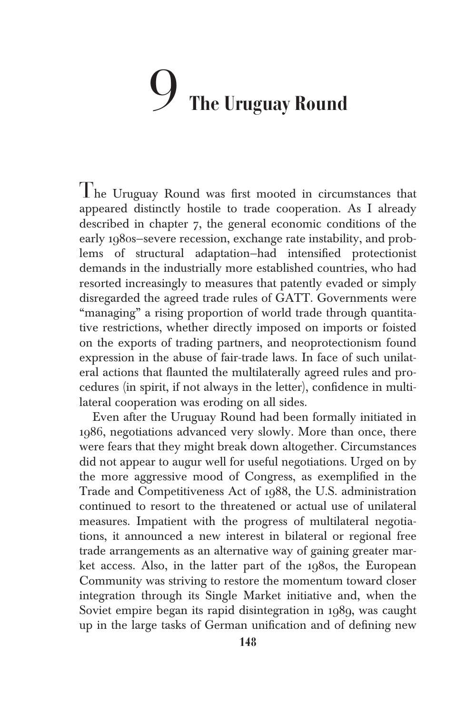# 9 **The Uruguay Round**

 $T$ he Uruguay Round was first mooted in circumstances that appeared distinctly hostile to trade cooperation. As I already described in chapter 7, the general economic conditions of the early 1980s—severe recession, exchange rate instability, and problems of structural adaptation-had intensified protectionist demands in the industrially more established countries, who had resorted increasingly to measures that patently evaded or simply disregarded the agreed trade rules of GATT. Governments were "managing" a rising proportion of world trade through quantitative restrictions, whether directly imposed on imports or foisted on the exports of trading partners, and neoprotectionism found expression in the abuse of fair-trade laws. In face of such unilateral actions that flaunted the multilaterally agreed rules and procedures (in spirit, if not always in the letter), confidence in multilateral cooperation was eroding on all sides.

Even after the Uruguay Round had been formally initiated in 1986, negotiations advanced very slowly. More than once, there were fears that they might break down altogether. Circumstances did not appear to augur well for useful negotiations. Urged on by the more aggressive mood of Congress, as exemplified in the Trade and Competitiveness Act of 1988, the U.S. administration continued to resort to the threatened or actual use of unilateral measures. Impatient with the progress of multilateral negotiations, it announced a new interest in bilateral or regional free trade arrangements as an alternative way of gaining greater market access. Also, in the latter part of the 1980s, the European Community was striving to restore the momentum toward closer integration through its Single Market initiative and, when the Soviet empire began its rapid disintegration in 1989, was caught up in the large tasks of German unification and of defining new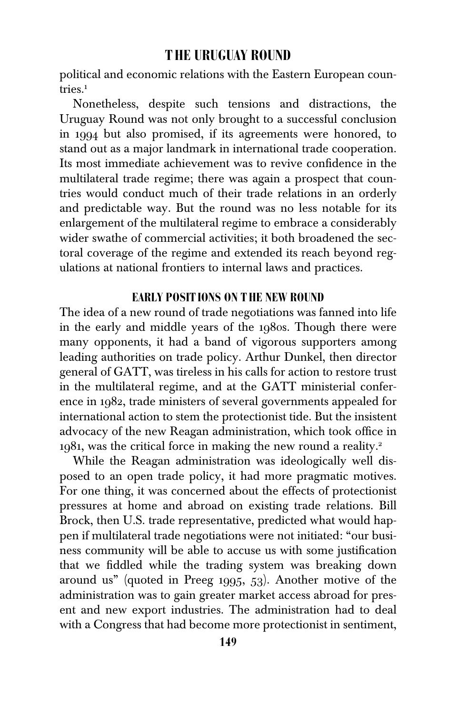political and economic relations with the Eastern European countries.<sup>1</sup>

Nonetheless, despite such tensions and distractions, the Uruguay Round was not only brought to a successful conclusion in 1994 but also promised, if its agreements were honored, to stand out as a major landmark in international trade cooperation. Its most immediate achievement was to revive confidence in the multilateral trade regime; there was again a prospect that countries would conduct much of their trade relations in an orderly and predictable way. But the round was no less notable for its enlargement of the multilateral regime to embrace a considerably wider swathe of commercial activities; it both broadened the sectoral coverage of the regime and extended its reach beyond regulations at national frontiers to internal laws and practices.

#### **EARLY POSIT IONS ON T HE NEW ROUND**

The idea of a new round of trade negotiations was fanned into life in the early and middle years of the 1980s. Though there were many opponents, it had a band of vigorous supporters among leading authorities on trade policy. Arthur Dunkel, then director general of GATT, was tireless in his calls for action to restore trust in the multilateral regime, and at the GATT ministerial conference in 1982, trade ministers of several governments appealed for international action to stem the protectionist tide. But the insistent advocacy of the new Reagan administration, which took office in 1981, was the critical force in making the new round a reality.<sup>2</sup>

While the Reagan administration was ideologically well disposed to an open trade policy, it had more pragmatic motives. For one thing, it was concerned about the effects of protectionist pressures at home and abroad on existing trade relations. Bill Brock, then U.S. trade representative, predicted what would happen if multilateral trade negotiations were not initiated: "our business community will be able to accuse us with some justification that we fiddled while the trading system was breaking down around us" (quoted in Preeg 1995, 53). Another motive of the administration was to gain greater market access abroad for present and new export industries. The administration had to deal with a Congress that had become more protectionist in sentiment,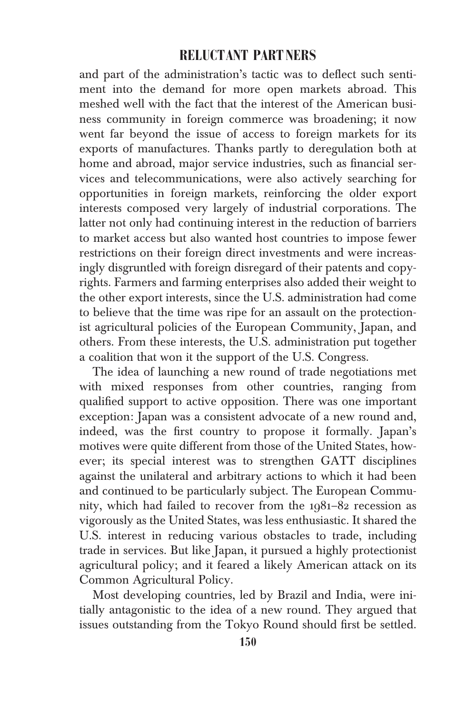and part of the administration's tactic was to deflect such sentiment into the demand for more open markets abroad. This meshed well with the fact that the interest of the American business community in foreign commerce was broadening; it now went far beyond the issue of access to foreign markets for its exports of manufactures. Thanks partly to deregulation both at home and abroad, major service industries, such as financial services and telecommunications, were also actively searching for opportunities in foreign markets, reinforcing the older export interests composed very largely of industrial corporations. The latter not only had continuing interest in the reduction of barriers to market access but also wanted host countries to impose fewer restrictions on their foreign direct investments and were increasingly disgruntled with foreign disregard of their patents and copyrights. Farmers and farming enterprises also added their weight to the other export interests, since the U.S. administration had come to believe that the time was ripe for an assault on the protectionist agricultural policies of the European Community, Japan, and others. From these interests, the U.S. administration put together a coalition that won it the support of the U.S. Congress.

The idea of launching a new round of trade negotiations met with mixed responses from other countries, ranging from qualified support to active opposition. There was one important exception: Japan was a consistent advocate of a new round and, indeed, was the first country to propose it formally. Japan's motives were quite different from those of the United States, however; its special interest was to strengthen GATT disciplines against the unilateral and arbitrary actions to which it had been and continued to be particularly subject. The European Community, which had failed to recover from the 1981–82 recession as vigorously as the United States, was less enthusiastic. It shared the U.S. interest in reducing various obstacles to trade, including trade in services. But like Japan, it pursued a highly protectionist agricultural policy; and it feared a likely American attack on its Common Agricultural Policy.

Most developing countries, led by Brazil and India, were initially antagonistic to the idea of a new round. They argued that issues outstanding from the Tokyo Round should first be settled.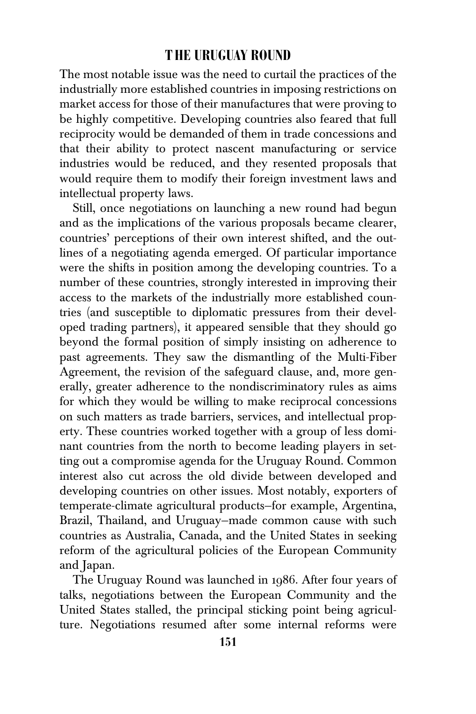The most notable issue was the need to curtail the practices of the industrially more established countries in imposing restrictions on market access for those of their manufactures that were proving to be highly competitive. Developing countries also feared that full reciprocity would be demanded of them in trade concessions and that their ability to protect nascent manufacturing or service industries would be reduced, and they resented proposals that would require them to modify their foreign investment laws and intellectual property laws.

Still, once negotiations on launching a new round had begun and as the implications of the various proposals became clearer, countries' perceptions of their own interest shifted, and the outlines of a negotiating agenda emerged. Of particular importance were the shifts in position among the developing countries. To a number of these countries, strongly interested in improving their access to the markets of the industrially more established countries (and susceptible to diplomatic pressures from their developed trading partners), it appeared sensible that they should go beyond the formal position of simply insisting on adherence to past agreements. They saw the dismantling of the Multi-Fiber Agreement, the revision of the safeguard clause, and, more generally, greater adherence to the nondiscriminatory rules as aims for which they would be willing to make reciprocal concessions on such matters as trade barriers, services, and intellectual property. These countries worked together with a group of less dominant countries from the north to become leading players in setting out a compromise agenda for the Uruguay Round. Common interest also cut across the old divide between developed and developing countries on other issues. Most notably, exporters of temperate-climate agricultural products—for example, Argentina, Brazil, Thailand, and Uruguay—made common cause with such countries as Australia, Canada, and the United States in seeking reform of the agricultural policies of the European Community and Japan.

The Uruguay Round was launched in 1986. After four years of talks, negotiations between the European Community and the United States stalled, the principal sticking point being agriculture. Negotiations resumed after some internal reforms were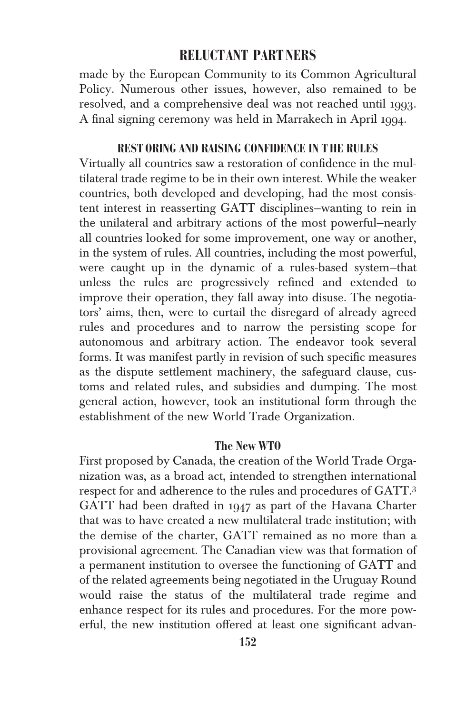made by the European Community to its Common Agricultural Policy. Numerous other issues, however, also remained to be resolved, and a comprehensive deal was not reached until 1993. A final signing ceremony was held in Marrakech in April 1994.

## **REST ORING AND RAISING CONFIDENCE IN T HE RULES**

Virtually all countries saw a restoration of confidence in the multilateral trade regime to be in their own interest. While the weaker countries, both developed and developing, had the most consistent interest in reasserting GATT disciplines—wanting to rein in the unilateral and arbitrary actions of the most powerful—nearly all countries looked for some improvement, one way or another, in the system of rules. All countries, including the most powerful, were caught up in the dynamic of a rules-based system—that unless the rules are progressively refined and extended to improve their operation, they fall away into disuse. The negotiators' aims, then, were to curtail the disregard of already agreed rules and procedures and to narrow the persisting scope for autonomous and arbitrary action. The endeavor took several forms. It was manifest partly in revision of such specific measures as the dispute settlement machinery, the safeguard clause, customs and related rules, and subsidies and dumping. The most general action, however, took an institutional form through the establishment of the new World Trade Organization.

#### **The New WTO**

First proposed by Canada, the creation of the World Trade Organization was, as a broad act, intended to strengthen international respect for and adherence to the rules and procedures of GATT.3 GATT had been drafted in 1947 as part of the Havana Charter that was to have created a new multilateral trade institution; with the demise of the charter, GATT remained as no more than a provisional agreement. The Canadian view was that formation of a permanent institution to oversee the functioning of GATT and of the related agreements being negotiated in the Uruguay Round would raise the status of the multilateral trade regime and enhance respect for its rules and procedures. For the more powerful, the new institution offered at least one significant advan-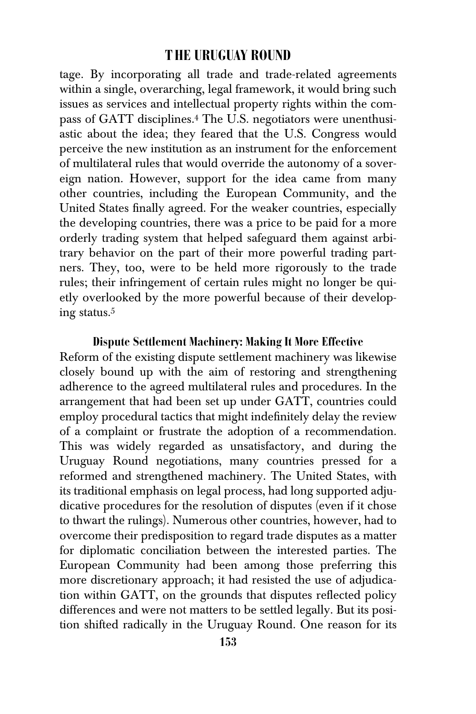tage. By incorporating all trade and trade-related agreements within a single, overarching, legal framework, it would bring such issues as services and intellectual property rights within the compass of GATT disciplines.<sup>4</sup> The U.S. negotiators were unenthusiastic about the idea; they feared that the U.S. Congress would perceive the new institution as an instrument for the enforcement of multilateral rules that would override the autonomy of a sovereign nation. However, support for the idea came from many other countries, including the European Community, and the United States finally agreed. For the weaker countries, especially the developing countries, there was a price to be paid for a more orderly trading system that helped safeguard them against arbitrary behavior on the part of their more powerful trading partners. They, too, were to be held more rigorously to the trade rules; their infringement of certain rules might no longer be quietly overlooked by the more powerful because of their developing status.<sup>5</sup>

#### **Dispute Settlement Machinery: Making It More Effective**

Reform of the existing dispute settlement machinery was likewise closely bound up with the aim of restoring and strengthening adherence to the agreed multilateral rules and procedures. In the arrangement that had been set up under GATT, countries could employ procedural tactics that might indefinitely delay the review of a complaint or frustrate the adoption of a recommendation. This was widely regarded as unsatisfactory, and during the Uruguay Round negotiations, many countries pressed for a reformed and strengthened machinery. The United States, with its traditional emphasis on legal process, had long supported adjudicative procedures for the resolution of disputes (even if it chose to thwart the rulings). Numerous other countries, however, had to overcome their predisposition to regard trade disputes as a matter for diplomatic conciliation between the interested parties. The European Community had been among those preferring this more discretionary approach; it had resisted the use of adjudication within GATT, on the grounds that disputes reflected policy differences and were not matters to be settled legally. But its position shifted radically in the Uruguay Round. One reason for its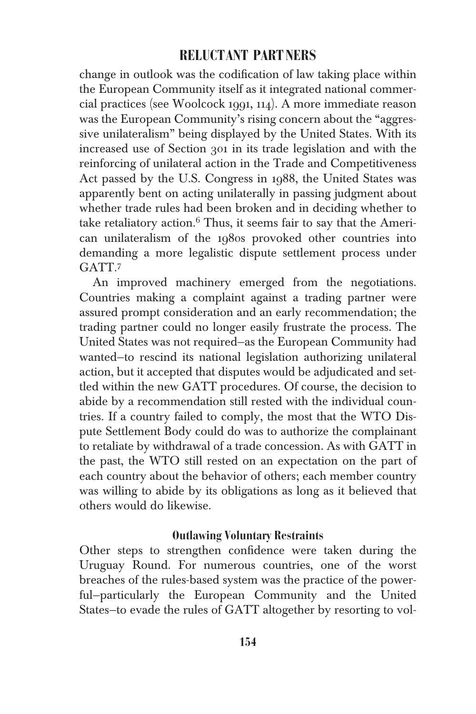change in outlook was the codification of law taking place within the European Community itself as it integrated national commercial practices (see Woolcock 1991, 114). A more immediate reason was the European Community's rising concern about the "aggressive unilateralism" being displayed by the United States. With its increased use of Section 301 in its trade legislation and with the reinforcing of unilateral action in the Trade and Competitiveness Act passed by the U.S. Congress in 1988, the United States was apparently bent on acting unilaterally in passing judgment about whether trade rules had been broken and in deciding whether to take retaliatory action. $6$  Thus, it seems fair to say that the American unilateralism of the 1980s provoked other countries into demanding a more legalistic dispute settlement process under GATT.7

An improved machinery emerged from the negotiations. Countries making a complaint against a trading partner were assured prompt consideration and an early recommendation; the trading partner could no longer easily frustrate the process. The United States was not required—as the European Community had wanted—to rescind its national legislation authorizing unilateral action, but it accepted that disputes would be adjudicated and settled within the new GATT procedures. Of course, the decision to abide by a recommendation still rested with the individual countries. If a country failed to comply, the most that the WTO Dispute Settlement Body could do was to authorize the complainant to retaliate by withdrawal of a trade concession. As with GATT in the past, the WTO still rested on an expectation on the part of each country about the behavior of others; each member country was willing to abide by its obligations as long as it believed that others would do likewise.

#### **Outlawing Voluntary Restraints**

Other steps to strengthen confidence were taken during the Uruguay Round. For numerous countries, one of the worst breaches of the rules-based system was the practice of the powerful—particularly the European Community and the United States—to evade the rules of GATT altogether by resorting to vol-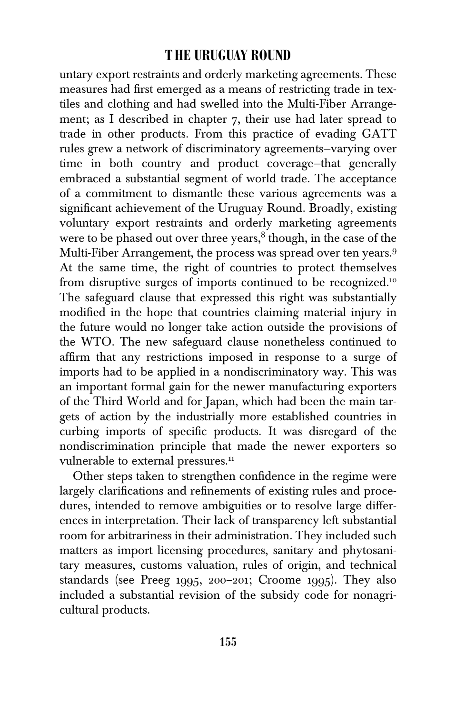untary export restraints and orderly marketing agreements. These measures had first emerged as a means of restricting trade in textiles and clothing and had swelled into the Multi-Fiber Arrangement; as I described in chapter 7, their use had later spread to trade in other products. From this practice of evading GATT rules grew a network of discriminatory agreements—varying over time in both country and product coverage—that generally embraced a substantial segment of world trade. The acceptance of a commitment to dismantle these various agreements was a significant achievement of the Uruguay Round. Broadly, existing voluntary export restraints and orderly marketing agreements were to be phased out over three years, $8$  though, in the case of the Multi-Fiber Arrangement, the process was spread over ten years.9 At the same time, the right of countries to protect themselves from disruptive surges of imports continued to be recognized.<sup>10</sup> The safeguard clause that expressed this right was substantially modified in the hope that countries claiming material injury in the future would no longer take action outside the provisions of the WTO. The new safeguard clause nonetheless continued to affirm that any restrictions imposed in response to a surge of imports had to be applied in a nondiscriminatory way. This was an important formal gain for the newer manufacturing exporters of the Third World and for Japan, which had been the main targets of action by the industrially more established countries in curbing imports of specific products. It was disregard of the nondiscrimination principle that made the newer exporters so vulnerable to external pressures.<sup>11</sup>

Other steps taken to strengthen confidence in the regime were largely clarifications and refinements of existing rules and procedures, intended to remove ambiguities or to resolve large differences in interpretation. Their lack of transparency left substantial room for arbitrariness in their administration. They included such matters as import licensing procedures, sanitary and phytosanitary measures, customs valuation, rules of origin, and technical standards (see Preeg 1995, 200–201; Croome 1995). They also included a substantial revision of the subsidy code for nonagricultural products.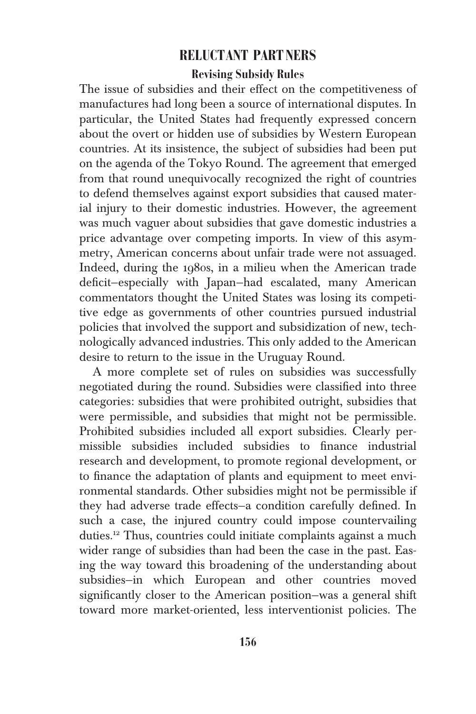#### **Revising Subsidy Rules**

The issue of subsidies and their effect on the competitiveness of manufactures had long been a source of international disputes. In particular, the United States had frequently expressed concern about the overt or hidden use of subsidies by Western European countries. At its insistence, the subject of subsidies had been put on the agenda of the Tokyo Round. The agreement that emerged from that round unequivocally recognized the right of countries to defend themselves against export subsidies that caused material injury to their domestic industries. However, the agreement was much vaguer about subsidies that gave domestic industries a price advantage over competing imports. In view of this asymmetry, American concerns about unfair trade were not assuaged. Indeed, during the 1980s, in a milieu when the American trade deficit-especially with Japan-had escalated, many American commentators thought the United States was losing its competitive edge as governments of other countries pursued industrial policies that involved the support and subsidization of new, technologically advanced industries. This only added to the American desire to return to the issue in the Uruguay Round.

A more complete set of rules on subsidies was successfully negotiated during the round. Subsidies were classified into three categories: subsidies that were prohibited outright, subsidies that were permissible, and subsidies that might not be permissible. Prohibited subsidies included all export subsidies. Clearly permissible subsidies included subsidies to finance industrial research and development, to promote regional development, or to finance the adaptation of plants and equipment to meet environmental standards. Other subsidies might not be permissible if they had adverse trade effects-a condition carefully defined. In such a case, the injured country could impose countervailing duties.<sup>12</sup> Thus, countries could initiate complaints against a much wider range of subsidies than had been the case in the past. Easing the way toward this broadening of the understanding about subsidies—in which European and other countries moved significantly closer to the American position-was a general shift toward more market-oriented, less interventionist policies. The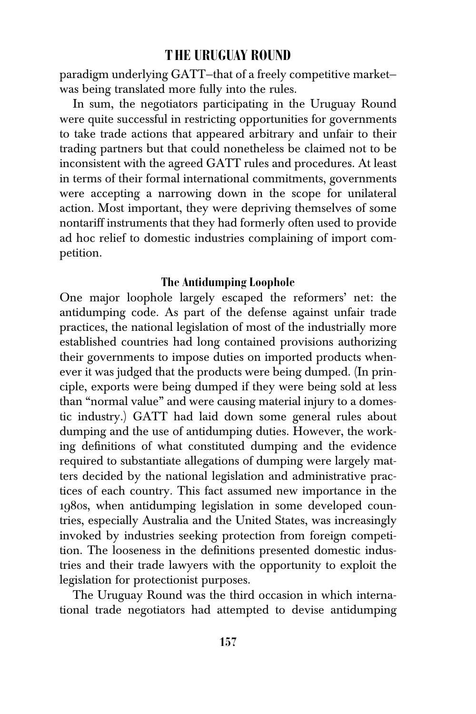paradigm underlying GATT—that of a freely competitive market was being translated more fully into the rules.

In sum, the negotiators participating in the Uruguay Round were quite successful in restricting opportunities for governments to take trade actions that appeared arbitrary and unfair to their trading partners but that could nonetheless be claimed not to be inconsistent with the agreed GATT rules and procedures. At least in terms of their formal international commitments, governments were accepting a narrowing down in the scope for unilateral action. Most important, they were depriving themselves of some nontariff instruments that they had formerly often used to provide ad hoc relief to domestic industries complaining of import competition.

#### **The Antidumping Loophole**

One major loophole largely escaped the reformers' net: the antidumping code. As part of the defense against unfair trade practices, the national legislation of most of the industrially more established countries had long contained provisions authorizing their governments to impose duties on imported products whenever it was judged that the products were being dumped. (In principle, exports were being dumped if they were being sold at less than "normal value" and were causing material injury to a domestic industry.) GATT had laid down some general rules about dumping and the use of antidumping duties. However, the working definitions of what constituted dumping and the evidence required to substantiate allegations of dumping were largely matters decided by the national legislation and administrative practices of each country. This fact assumed new importance in the 1980s, when antidumping legislation in some developed countries, especially Australia and the United States, was increasingly invoked by industries seeking protection from foreign competition. The looseness in the definitions presented domestic industries and their trade lawyers with the opportunity to exploit the legislation for protectionist purposes.

The Uruguay Round was the third occasion in which international trade negotiators had attempted to devise antidumping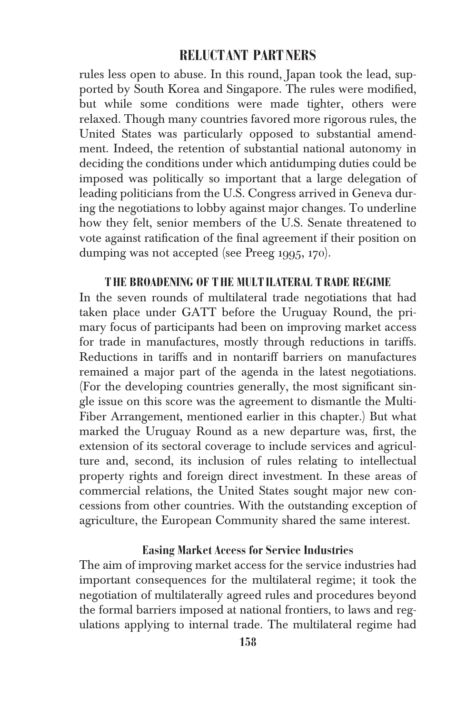rules less open to abuse. In this round, Japan took the lead, supported by South Korea and Singapore. The rules were modified, but while some conditions were made tighter, others were relaxed. Though many countries favored more rigorous rules, the United States was particularly opposed to substantial amendment. Indeed, the retention of substantial national autonomy in deciding the conditions under which antidumping duties could be imposed was politically so important that a large delegation of leading politicians from the U.S. Congress arrived in Geneva during the negotiations to lobby against major changes. To underline how they felt, senior members of the U.S. Senate threatened to vote against ratification of the final agreement if their position on dumping was not accepted (see Preeg 1995, 170).

## **T HE BROADENING OF T HE MULT ILATERAL T RADE REGIME**

In the seven rounds of multilateral trade negotiations that had taken place under GATT before the Uruguay Round, the primary focus of participants had been on improving market access for trade in manufactures, mostly through reductions in tariffs. Reductions in tariffs and in nontariff barriers on manufactures remained a major part of the agenda in the latest negotiations. (For the developing countries generally, the most significant single issue on this score was the agreement to dismantle the Multi-Fiber Arrangement, mentioned earlier in this chapter.) But what marked the Uruguay Round as a new departure was, first, the extension of its sectoral coverage to include services and agriculture and, second, its inclusion of rules relating to intellectual property rights and foreign direct investment. In these areas of commercial relations, the United States sought major new concessions from other countries. With the outstanding exception of agriculture, the European Community shared the same interest.

#### **Easing Market Access for Service Industries**

The aim of improving market access for the service industries had important consequences for the multilateral regime; it took the negotiation of multilaterally agreed rules and procedures beyond the formal barriers imposed at national frontiers, to laws and regulations applying to internal trade. The multilateral regime had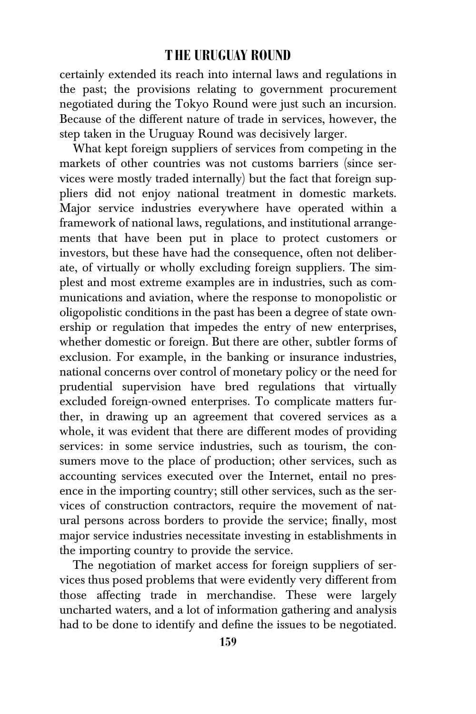certainly extended its reach into internal laws and regulations in the past; the provisions relating to government procurement negotiated during the Tokyo Round were just such an incursion. Because of the different nature of trade in services, however, the step taken in the Uruguay Round was decisively larger.

What kept foreign suppliers of services from competing in the markets of other countries was not customs barriers (since services were mostly traded internally) but the fact that foreign suppliers did not enjoy national treatment in domestic markets. Major service industries everywhere have operated within a framework of national laws, regulations, and institutional arrangements that have been put in place to protect customers or investors, but these have had the consequence, often not deliberate, of virtually or wholly excluding foreign suppliers. The simplest and most extreme examples are in industries, such as communications and aviation, where the response to monopolistic or oligopolistic conditions in the past has been a degree of state ownership or regulation that impedes the entry of new enterprises, whether domestic or foreign. But there are other, subtler forms of exclusion. For example, in the banking or insurance industries, national concerns over control of monetary policy or the need for prudential supervision have bred regulations that virtually excluded foreign-owned enterprises. To complicate matters further, in drawing up an agreement that covered services as a whole, it was evident that there are different modes of providing services: in some service industries, such as tourism, the consumers move to the place of production; other services, such as accounting services executed over the Internet, entail no presence in the importing country; still other services, such as the services of construction contractors, require the movement of natural persons across borders to provide the service; finally, most major service industries necessitate investing in establishments in the importing country to provide the service.

The negotiation of market access for foreign suppliers of services thus posed problems that were evidently very different from those affecting trade in merchandise. These were largely uncharted waters, and a lot of information gathering and analysis had to be done to identify and define the issues to be negotiated.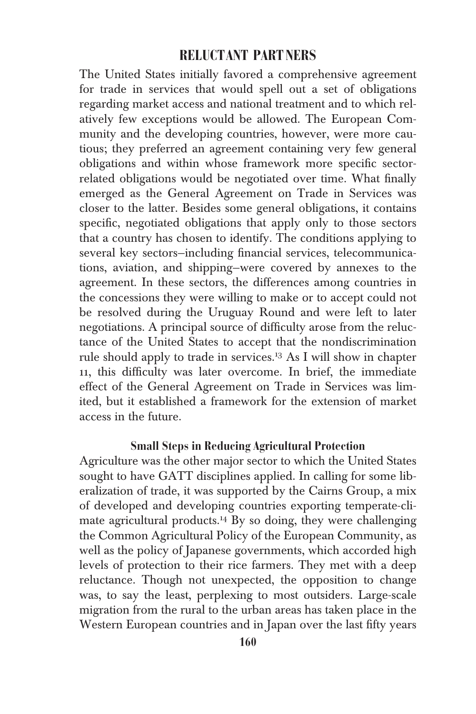The United States initially favored a comprehensive agreement for trade in services that would spell out a set of obligations regarding market access and national treatment and to which relatively few exceptions would be allowed. The European Community and the developing countries, however, were more cautious; they preferred an agreement containing very few general obligations and within whose framework more specific sectorrelated obligations would be negotiated over time. What finally emerged as the General Agreement on Trade in Services was closer to the latter. Besides some general obligations, it contains specific, negotiated obligations that apply only to those sectors that a country has chosen to identify. The conditions applying to several key sectors-including financial services, telecommunications, aviation, and shipping—were covered by annexes to the agreement. In these sectors, the differences among countries in the concessions they were willing to make or to accept could not be resolved during the Uruguay Round and were left to later negotiations. A principal source of difficulty arose from the reluctance of the United States to accept that the nondiscrimination rule should apply to trade in services.<sup>13</sup> As I will show in chapter 11, this difficulty was later overcome. In brief, the immediate effect of the General Agreement on Trade in Services was limited, but it established a framework for the extension of market access in the future.

#### **Small Steps in Reducing Agricultural Protection**

Agriculture was the other major sector to which the United States sought to have GATT disciplines applied. In calling for some liberalization of trade, it was supported by the Cairns Group, a mix of developed and developing countries exporting temperate-climate agricultural products.<sup>14</sup> By so doing, they were challenging the Common Agricultural Policy of the European Community, as well as the policy of Japanese governments, which accorded high levels of protection to their rice farmers. They met with a deep reluctance. Though not unexpected, the opposition to change was, to say the least, perplexing to most outsiders. Large-scale migration from the rural to the urban areas has taken place in the Western European countries and in Japan over the last fifty years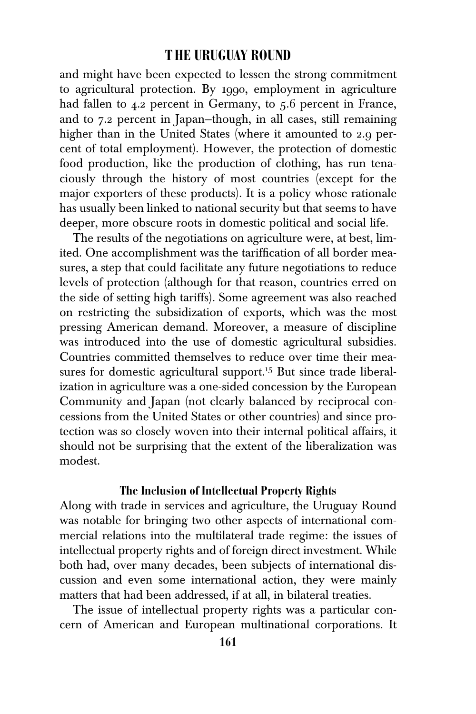and might have been expected to lessen the strong commitment to agricultural protection. By 1990, employment in agriculture had fallen to 4.2 percent in Germany, to 5.6 percent in France, and to 7.2 percent in Japan—though, in all cases, still remaining higher than in the United States (where it amounted to 2.9 percent of total employment). However, the protection of domestic food production, like the production of clothing, has run tenaciously through the history of most countries (except for the major exporters of these products). It is a policy whose rationale has usually been linked to national security but that seems to have deeper, more obscure roots in domestic political and social life.

The results of the negotiations on agriculture were, at best, limited. One accomplishment was the tariffication of all border measures, a step that could facilitate any future negotiations to reduce levels of protection (although for that reason, countries erred on the side of setting high tariffs). Some agreement was also reached on restricting the subsidization of exports, which was the most pressing American demand. Moreover, a measure of discipline was introduced into the use of domestic agricultural subsidies. Countries committed themselves to reduce over time their measures for domestic agricultural support.<sup>15</sup> But since trade liberalization in agriculture was a one-sided concession by the European Community and Japan (not clearly balanced by reciprocal concessions from the United States or other countries) and since protection was so closely woven into their internal political affairs, it should not be surprising that the extent of the liberalization was modest.

#### **The Inclusion of Intellectual Property Rights**

Along with trade in services and agriculture, the Uruguay Round was notable for bringing two other aspects of international commercial relations into the multilateral trade regime: the issues of intellectual property rights and of foreign direct investment. While both had, over many decades, been subjects of international discussion and even some international action, they were mainly matters that had been addressed, if at all, in bilateral treaties.

The issue of intellectual property rights was a particular concern of American and European multinational corporations. It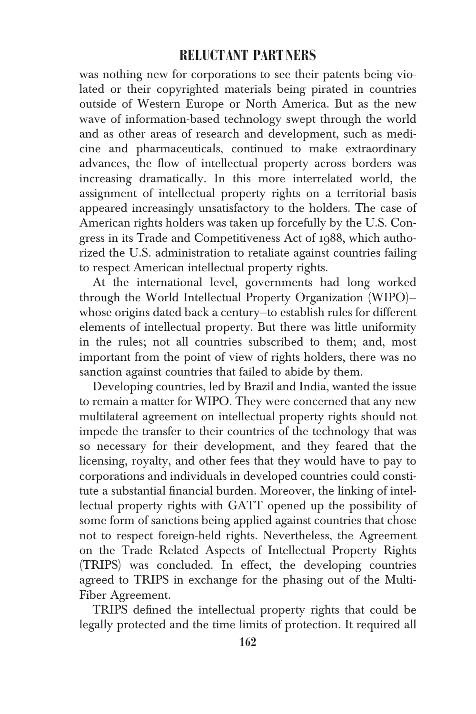was nothing new for corporations to see their patents being violated or their copyrighted materials being pirated in countries outside of Western Europe or North America. But as the new wave of information-based technology swept through the world and as other areas of research and development, such as medicine and pharmaceuticals, continued to make extraordinary advances, the flow of intellectual property across borders was increasing dramatically. In this more interrelated world, the assignment of intellectual property rights on a territorial basis appeared increasingly unsatisfactory to the holders. The case of American rights holders was taken up forcefully by the U.S. Congress in its Trade and Competitiveness Act of 1988, which authorized the U.S. administration to retaliate against countries failing to respect American intellectual property rights.

At the international level, governments had long worked through the World Intellectual Property Organization (WIPO) whose origins dated back a century—to establish rules for different elements of intellectual property. But there was little uniformity in the rules; not all countries subscribed to them; and, most important from the point of view of rights holders, there was no sanction against countries that failed to abide by them.

Developing countries, led by Brazil and India, wanted the issue to remain a matter for WIPO. They were concerned that any new multilateral agreement on intellectual property rights should not impede the transfer to their countries of the technology that was so necessary for their development, and they feared that the licensing, royalty, and other fees that they would have to pay to corporations and individuals in developed countries could constitute a substantial financial burden. Moreover, the linking of intellectual property rights with GATT opened up the possibility of some form of sanctions being applied against countries that chose not to respect foreign-held rights. Nevertheless, the Agreement on the Trade Related Aspects of Intellectual Property Rights (TRIPS) was concluded. In effect, the developing countries agreed to TRIPS in exchange for the phasing out of the Multi-Fiber Agreement.

TRIPS defined the intellectual property rights that could be legally protected and the time limits of protection. It required all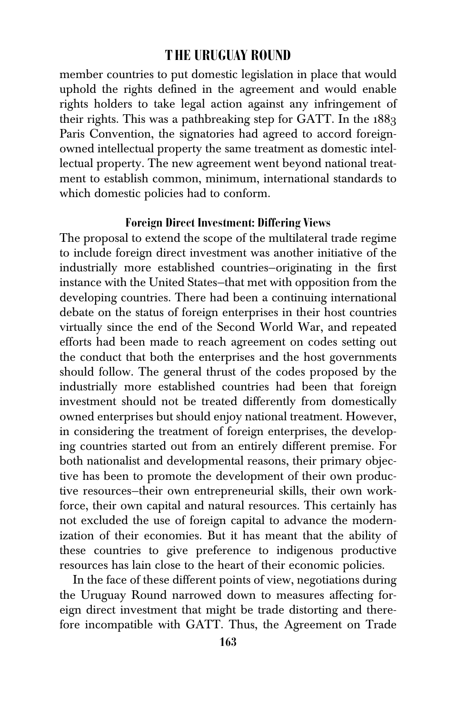member countries to put domestic legislation in place that would uphold the rights defined in the agreement and would enable rights holders to take legal action against any infringement of their rights. This was a pathbreaking step for GATT. In the 1883 Paris Convention, the signatories had agreed to accord foreignowned intellectual property the same treatment as domestic intellectual property. The new agreement went beyond national treatment to establish common, minimum, international standards to which domestic policies had to conform.

## **Foreign Direct Investment: Differing Views**

The proposal to extend the scope of the multilateral trade regime to include foreign direct investment was another initiative of the industrially more established countries-originating in the first instance with the United States—that met with opposition from the developing countries. There had been a continuing international debate on the status of foreign enterprises in their host countries virtually since the end of the Second World War, and repeated efforts had been made to reach agreement on codes setting out the conduct that both the enterprises and the host governments should follow. The general thrust of the codes proposed by the industrially more established countries had been that foreign investment should not be treated differently from domestically owned enterprises but should enjoy national treatment. However, in considering the treatment of foreign enterprises, the developing countries started out from an entirely different premise. For both nationalist and developmental reasons, their primary objective has been to promote the development of their own productive resources—their own entrepreneurial skills, their own workforce, their own capital and natural resources. This certainly has not excluded the use of foreign capital to advance the modernization of their economies. But it has meant that the ability of these countries to give preference to indigenous productive resources has lain close to the heart of their economic policies.

In the face of these different points of view, negotiations during the Uruguay Round narrowed down to measures affecting foreign direct investment that might be trade distorting and therefore incompatible with GATT. Thus, the Agreement on Trade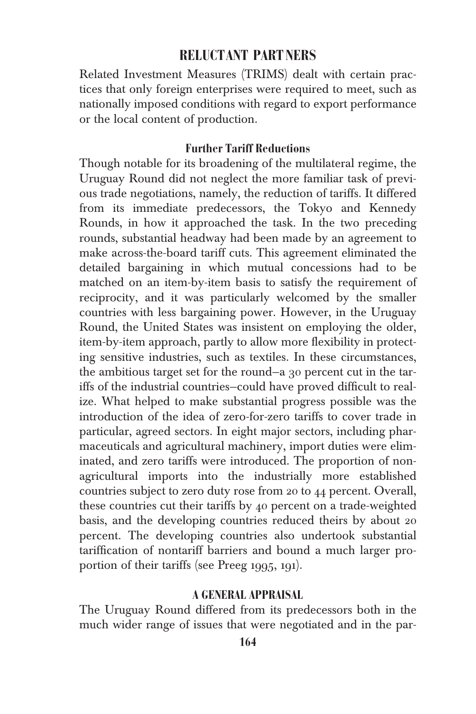Related Investment Measures (TRIMS) dealt with certain practices that only foreign enterprises were required to meet, such as nationally imposed conditions with regard to export performance or the local content of production.

#### **Further Tariff Reductions**

Though notable for its broadening of the multilateral regime, the Uruguay Round did not neglect the more familiar task of previous trade negotiations, namely, the reduction of tariffs. It differed from its immediate predecessors, the Tokyo and Kennedy Rounds, in how it approached the task. In the two preceding rounds, substantial headway had been made by an agreement to make across-the-board tariff cuts. This agreement eliminated the detailed bargaining in which mutual concessions had to be matched on an item-by-item basis to satisfy the requirement of reciprocity, and it was particularly welcomed by the smaller countries with less bargaining power. However, in the Uruguay Round, the United States was insistent on employing the older, item-by-item approach, partly to allow more flexibility in protecting sensitive industries, such as textiles. In these circumstances, the ambitious target set for the round—a 30 percent cut in the tariffs of the industrial countries-could have proved difficult to realize. What helped to make substantial progress possible was the introduction of the idea of zero-for-zero tariffs to cover trade in particular, agreed sectors. In eight major sectors, including pharmaceuticals and agricultural machinery, import duties were eliminated, and zero tariffs were introduced. The proportion of nonagricultural imports into the industrially more established countries subject to zero duty rose from 20 to 44 percent. Overall, these countries cut their tariffs by 40 percent on a trade-weighted basis, and the developing countries reduced theirs by about 20 percent. The developing countries also undertook substantial tariffication of nontariff barriers and bound a much larger proportion of their tariffs (see Preeg 1995, 191).

#### **A GENERAL APPRAISAL**

The Uruguay Round differed from its predecessors both in the much wider range of issues that were negotiated and in the par-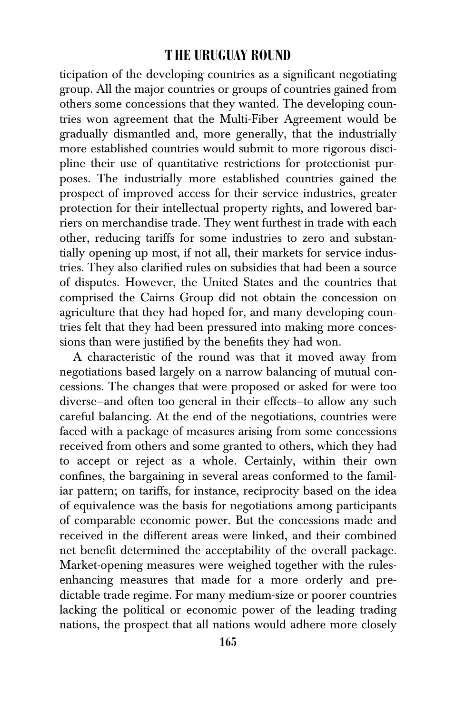ticipation of the developing countries as a significant negotiating group. All the major countries or groups of countries gained from others some concessions that they wanted. The developing countries won agreement that the Multi-Fiber Agreement would be gradually dismantled and, more generally, that the industrially more established countries would submit to more rigorous discipline their use of quantitative restrictions for protectionist purposes. The industrially more established countries gained the prospect of improved access for their service industries, greater protection for their intellectual property rights, and lowered barriers on merchandise trade. They went furthest in trade with each other, reducing tariffs for some industries to zero and substantially opening up most, if not all, their markets for service industries. They also clarified rules on subsidies that had been a source of disputes. However, the United States and the countries that comprised the Cairns Group did not obtain the concession on agriculture that they had hoped for, and many developing countries felt that they had been pressured into making more concessions than were justified by the benefits they had won.

A characteristic of the round was that it moved away from negotiations based largely on a narrow balancing of mutual concessions. The changes that were proposed or asked for were too diverse—and often too general in their effects—to allow any such careful balancing. At the end of the negotiations, countries were faced with a package of measures arising from some concessions received from others and some granted to others, which they had to accept or reject as a whole. Certainly, within their own confines, the bargaining in several areas conformed to the familiar pattern; on tariffs, for instance, reciprocity based on the idea of equivalence was the basis for negotiations among participants of comparable economic power. But the concessions made and received in the different areas were linked, and their combined net benefit determined the acceptability of the overall package. Market-opening measures were weighed together with the rulesenhancing measures that made for a more orderly and predictable trade regime. For many medium-size or poorer countries lacking the political or economic power of the leading trading nations, the prospect that all nations would adhere more closely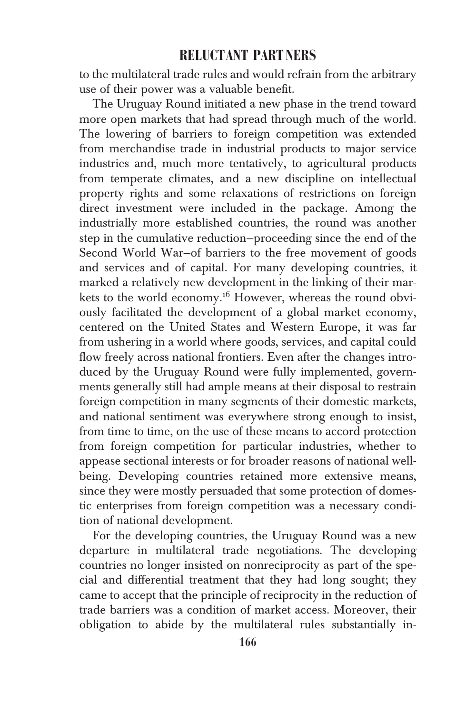to the multilateral trade rules and would refrain from the arbitrary use of their power was a valuable benefit.

The Uruguay Round initiated a new phase in the trend toward more open markets that had spread through much of the world. The lowering of barriers to foreign competition was extended from merchandise trade in industrial products to major service industries and, much more tentatively, to agricultural products from temperate climates, and a new discipline on intellectual property rights and some relaxations of restrictions on foreign direct investment were included in the package. Among the industrially more established countries, the round was another step in the cumulative reduction—proceeding since the end of the Second World War—of barriers to the free movement of goods and services and of capital. For many developing countries, it marked a relatively new development in the linking of their markets to the world economy.<sup>16</sup> However, whereas the round obviously facilitated the development of a global market economy, centered on the United States and Western Europe, it was far from ushering in a world where goods, services, and capital could flow freely across national frontiers. Even after the changes introduced by the Uruguay Round were fully implemented, governments generally still had ample means at their disposal to restrain foreign competition in many segments of their domestic markets, and national sentiment was everywhere strong enough to insist, from time to time, on the use of these means to accord protection from foreign competition for particular industries, whether to appease sectional interests or for broader reasons of national wellbeing. Developing countries retained more extensive means, since they were mostly persuaded that some protection of domestic enterprises from foreign competition was a necessary condition of national development.

For the developing countries, the Uruguay Round was a new departure in multilateral trade negotiations. The developing countries no longer insisted on nonreciprocity as part of the special and differential treatment that they had long sought; they came to accept that the principle of reciprocity in the reduction of trade barriers was a condition of market access. Moreover, their obligation to abide by the multilateral rules substantially in-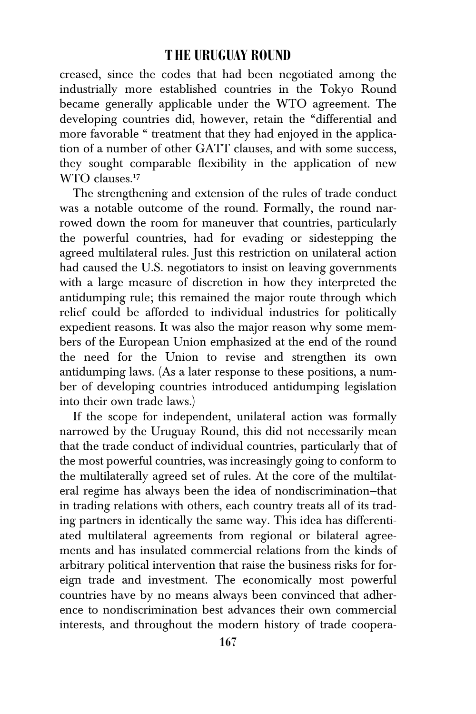creased, since the codes that had been negotiated among the industrially more established countries in the Tokyo Round became generally applicable under the WTO agreement. The developing countries did, however, retain the "differential and more favorable " treatment that they had enjoyed in the application of a number of other GATT clauses, and with some success, they sought comparable flexibility in the application of new WTO clauses.<sup>17</sup>

The strengthening and extension of the rules of trade conduct was a notable outcome of the round. Formally, the round narrowed down the room for maneuver that countries, particularly the powerful countries, had for evading or sidestepping the agreed multilateral rules. Just this restriction on unilateral action had caused the U.S. negotiators to insist on leaving governments with a large measure of discretion in how they interpreted the antidumping rule; this remained the major route through which relief could be afforded to individual industries for politically expedient reasons. It was also the major reason why some members of the European Union emphasized at the end of the round the need for the Union to revise and strengthen its own antidumping laws. (As a later response to these positions, a number of developing countries introduced antidumping legislation into their own trade laws.)

If the scope for independent, unilateral action was formally narrowed by the Uruguay Round, this did not necessarily mean that the trade conduct of individual countries, particularly that of the most powerful countries, was increasingly going to conform to the multilaterally agreed set of rules. At the core of the multilateral regime has always been the idea of nondiscrimination—that in trading relations with others, each country treats all of its trading partners in identically the same way. This idea has differentiated multilateral agreements from regional or bilateral agreements and has insulated commercial relations from the kinds of arbitrary political intervention that raise the business risks for foreign trade and investment. The economically most powerful countries have by no means always been convinced that adherence to nondiscrimination best advances their own commercial interests, and throughout the modern history of trade coopera-